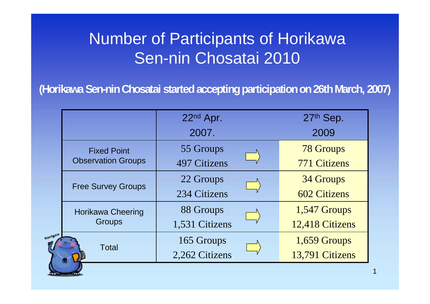## Number of Participants of Horikawa Sen-nin Chosatai 2010

**(Horikawa Sen-nin Chosatai started accepting participation on 26th March, 2007)**

|                                           | 22nd Apr.      | 27th Sep.           |
|-------------------------------------------|----------------|---------------------|
|                                           | 2007.          | 2009                |
| <b>Fixed Point</b>                        | 55 Groups      | <b>78 Groups</b>    |
| <b>Observation Groups</b>                 | 497 Citizens   | <b>771 Citizens</b> |
| <b>Free Survey Groups</b>                 | 22 Groups      | 34 Groups           |
|                                           | 234 Citizens   | <b>602 Citizens</b> |
| <b>Horikawa Cheering</b><br><b>Groups</b> | 88 Groups      | 1,547 Groups        |
|                                           | 1,531 Citizens | 12,418 Citizens     |
| ιοn<br><b>Total</b>                       | 165 Groups     | 1,659 Groups        |
|                                           | 2,262 Citizens | 13,791 Citizens     |

hork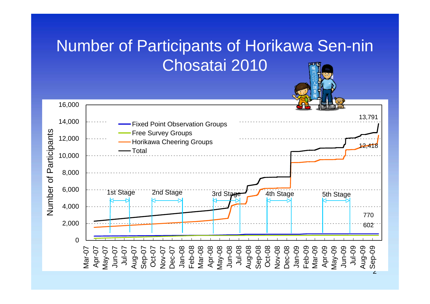## Number of Participants of Horikawa Sen-nin Chosatai 2010